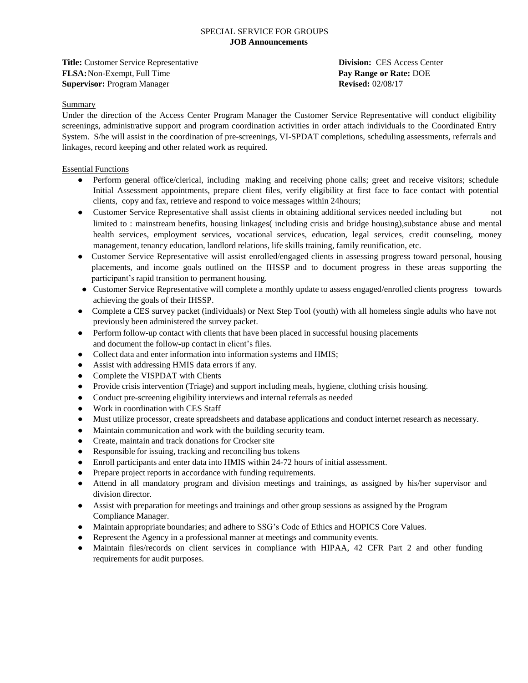**Title:** Customer Service Representative **Division:** CES Access Center **FLSA:**Non-Exempt, Full Time **Pay Range or Rate:** DOE **Supervisor:** Program Manager **Revised:** 02/08/17

# **Summary**

Under the direction of the Access Center Program Manager the Customer Service Representative will conduct eligibility screenings, administrative support and program coordination activities in order attach individuals to the Coordinated Entry System. S/he will assist in the coordination of pre-screenings, VI-SPDAT completions, scheduling assessments, referrals and linkages, record keeping and other related work as required.

# Essential Functions

- Perform general office/clerical, including making and receiving phone calls; greet and receive visitors; schedule Initial Assessment appointments, prepare client files, verify eligibility at first face to face contact with potential clients, copy and fax, retrieve and respond to voice messages within 24hours;
- Customer Service Representative shall assist clients in obtaining additional services needed including but not limited to : mainstream benefits, housing linkages( including crisis and bridge housing),substance abuse and mental health services, employment services, vocational services, education, legal services, credit counseling, money management, tenancy education, landlord relations, life skills training, family reunification, etc.
- Customer Service Representative will assist enrolled/engaged clients in assessing progress toward personal, housing placements, and income goals outlined on the IHSSP and to document progress in these areas supporting the participant's rapid transition to permanent housing.
- Customer Service Representative will complete a monthly update to assess engaged/enrolled clients progress towards achieving the goals of their IHSSP.
- Complete a CES survey packet (individuals) or Next Step Tool (youth) with all homeless single adults who have not previously been administered the survey packet.
- Perform follow-up contact with clients that have been placed in successful housing placements and document the follow-up contact in client's files.
- Collect data and enter information into information systems and HMIS;
- Assist with addressing HMIS data errors if any.
- Complete the VISPDAT with Clients
- Provide crisis intervention (Triage) and support including meals, hygiene, clothing crisis housing.
- Conduct pre-screening eligibility interviews and internal referrals as needed
- Work in coordination with CES Staff
- Must utilize processor, create spreadsheets and database applications and conduct internet research as necessary.
- Maintain communication and work with the building security team.
- Create, maintain and track donations for Crocker site
- Responsible for issuing, tracking and reconciling bus tokens
- Enroll participants and enter data into HMIS within 24-72 hours of initial assessment.
- Prepare project reports in accordance with funding requirements.
- Attend in all mandatory program and division meetings and trainings, as assigned by his/her supervisor and division director.
- Assist with preparation for meetings and trainings and other group sessions as assigned by the Program Compliance Manager.
- Maintain appropriate boundaries; and adhere to SSG's Code of Ethics and HOPICS Core Values.
- Represent the Agency in a professional manner at meetings and community events.
- Maintain files/records on client services in compliance with HIPAA, 42 CFR Part 2 and other funding requirements for audit purposes.